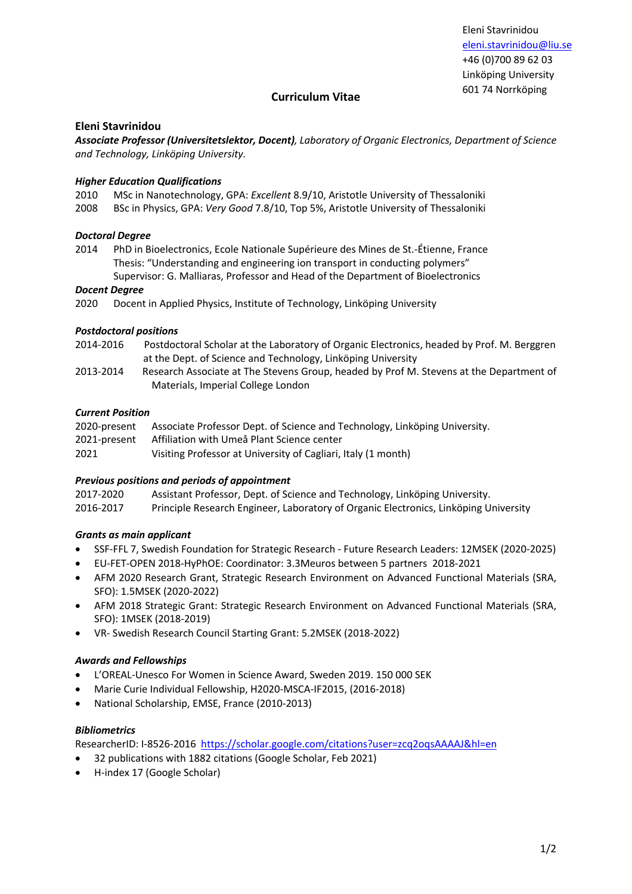Eleni Stavrinidou eleni.stavrinidou@liu.se +46 (0)700 89 62 03 Linköping University 601 74 Norrköping

# **Curriculum Vitae**

## **Eleni Stavrinidou**

*Associate Professor (Universitetslektor, Docent), Laboratory of Organic Electronics, Department of Science and Technology, Linköping University.*

## *Higher Education Qualifications*

2010 MSc in Nanotechnology, GPA: *Excellent* 8.9/10, Aristotle University of Thessaloniki

2008 BSc in Physics, GPA: *Very Good* 7.8/10, Top 5%, Aristotle University of Thessaloniki

### *Doctoral Degree*

- 2014 PhD in Bioelectronics, Ecole Nationale Supérieure des Mines de St.-Étienne, France Thesis: "Understanding and engineering ion transport in conducting polymers"
	- Supervisor: G. Malliaras, Professor and Head of the Department of Bioelectronics

### *Docent Degree*

2020 Docent in Applied Physics, Institute of Technology, Linköping University

### *Postdoctoral positions*

- 2014-2016 Postdoctoral Scholar at the Laboratory of Organic Electronics, headed by Prof. M. Berggren at the Dept. of Science and Technology, Linköping University
- 2013-2014 Research Associate at The Stevens Group, headed by Prof M. Stevens at the Department of Materials, Imperial College London

## *Current Position*

| 2020-present | Associate Professor Dept. of Science and Technology, Linköping University. |
|--------------|----------------------------------------------------------------------------|
| 2021-present | Affiliation with Umeå Plant Science center                                 |
| 2021         | Visiting Professor at University of Cagliari, Italy (1 month)              |

## *Previous positions and periods of appointment*

| 2017-2020 | Assistant Professor, Dept. of Science and Technology, Linköping University.          |
|-----------|--------------------------------------------------------------------------------------|
| 2016-2017 | Principle Research Engineer, Laboratory of Organic Electronics, Linköping University |

## *Grants as main applicant*

- SSF-FFL 7, Swedish Foundation for Strategic Research Future Research Leaders: 12MSEK (2020-2025)
- EU-FET-OPEN 2018-HyPhOE: Coordinator: 3.3Meuros between 5 partners 2018-2021
- AFM 2020 Research Grant, Strategic Research Environment on Advanced Functional Materials (SRA, SFO): 1.5MSEK (2020-2022)
- AFM 2018 Strategic Grant: Strategic Research Environment on Advanced Functional Materials (SRA, SFO): 1MSEK (2018-2019)
- VR- Swedish Research Council Starting Grant: 5.2MSEK (2018-2022)

#### *Awards and Fellowships*

- L'OREAL-Unesco For Women in Science Award, Sweden 2019. 150 000 SEK
- Marie Curie Individual Fellowship, H2020-MSCA-IF2015, (2016-2018)
- National Scholarship, EMSE, France (2010-2013)

#### *Bibliometrics*

ResearcherID: I-8526-2016 https://scholar.google.com/citations?user=zcq2oqsAAAAJ&hl=en

- 32 publications with 1882 citations (Google Scholar, Feb 2021)
- H-index 17 (Google Scholar)